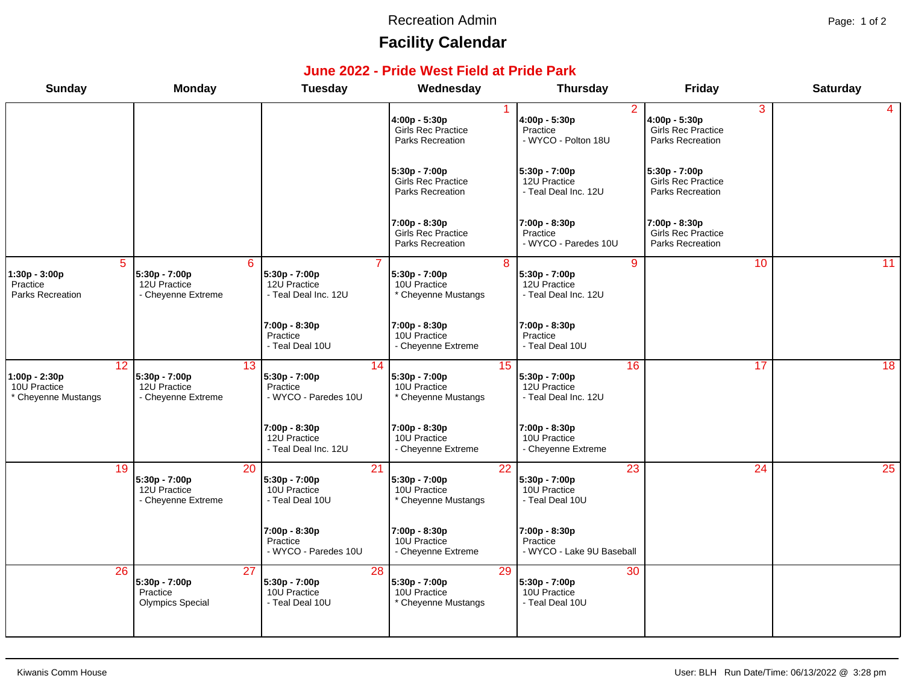#### Recreation Admin **Page: 1 of 2**

# **Facility Calendar**

#### **June 2022 - Pride West Field at Pride Park**

| <b>Sunday</b>                                              | <b>Monday</b>                                              | <b>Tuesday</b>                                          | Wednesday                                                             | <b>Thursday</b>                                                         | <b>Friday</b>                                                         | <b>Saturday</b> |
|------------------------------------------------------------|------------------------------------------------------------|---------------------------------------------------------|-----------------------------------------------------------------------|-------------------------------------------------------------------------|-----------------------------------------------------------------------|-----------------|
|                                                            |                                                            |                                                         | 4:00p - 5:30p<br>Girls Rec Practice<br>Parks Recreation               | 2<br>4:00p - 5:30p<br>Practice<br>- WYCO - Polton 18U                   | 3<br>4:00p - 5:30p<br>Girls Rec Practice<br>Parks Recreation          | 4               |
|                                                            |                                                            |                                                         | 5:30p - 7:00p<br><b>Girls Rec Practice</b><br><b>Parks Recreation</b> | 5:30p - 7:00p<br>12U Practice<br>- Teal Deal Inc. 12U                   | 5:30p - 7:00p<br><b>Girls Rec Practice</b><br><b>Parks Recreation</b> |                 |
|                                                            |                                                            |                                                         | 7:00p - 8:30p<br>Girls Rec Practice<br>Parks Recreation               | 7:00p - 8:30p<br>Practice<br>- WYCO - Paredes 10U                       | 7:00p - 8:30p<br>Girls Rec Practice<br>Parks Recreation               |                 |
| 5<br>1:30p - 3:00p<br>Practice<br>Parks Recreation         | 6<br>5:30p - 7:00p<br>12U Practice<br>- Cheyenne Extreme   | 5:30p - 7:00p<br>12U Practice<br>- Teal Deal Inc. 12U   | 8<br>5:30p - 7:00p<br>10U Practice<br>* Cheyenne Mustangs             | $\overline{9}$<br>5:30p - 7:00p<br>12U Practice<br>- Teal Deal Inc. 12U | 10                                                                    | 11              |
|                                                            |                                                            | 7:00p - 8:30p<br>Practice<br>- Teal Deal 10U            | 7:00p - 8:30p<br>10U Practice<br>- Cheyenne Extreme                   | 7:00p - 8:30p<br>Practice<br>- Teal Deal 10U                            |                                                                       |                 |
| 12<br>1:00p - 2:30p<br>10U Practice<br>* Cheyenne Mustangs | 13<br>5:30p - 7:00p<br>12U Practice<br>- Cheyenne Extreme  | 14<br>5:30p - 7:00p<br>Practice<br>- WYCO - Paredes 10U | 15<br>5:30p - 7:00p<br>10U Practice<br>* Cheyenne Mustangs            | 16<br>5:30p - 7:00p<br>12U Practice<br>- Teal Deal Inc. 12U             | 17                                                                    | 18              |
|                                                            |                                                            | 7:00p - 8:30p<br>12U Practice<br>- Teal Deal Inc. 12U   | 7:00p - 8:30p<br>10U Practice<br>- Cheyenne Extreme                   | 7:00p - 8:30p<br>10U Practice<br>- Cheyenne Extreme                     |                                                                       |                 |
| 19                                                         | 20<br>5:30p - 7:00p<br>12U Practice<br>- Cheyenne Extreme  | 21<br>5:30p - 7:00p<br>10U Practice<br>- Teal Deal 10U  | 22<br>5:30p - 7:00p<br>10U Practice<br>* Cheyenne Mustangs            | 23<br>5:30p - 7:00p<br>10U Practice<br>- Teal Deal 10U                  | 24                                                                    | 25              |
|                                                            |                                                            | 7:00p - 8:30p<br>Practice<br>- WYCO - Paredes 10U       | 7:00p - 8:30p<br>10U Practice<br>- Cheyenne Extreme                   | 7:00p - 8:30p<br>Practice<br>- WYCO - Lake 9U Baseball                  |                                                                       |                 |
| 26                                                         | 27<br>5:30p - 7:00p<br>Practice<br><b>Olympics Special</b> | 28<br>5:30p - 7:00p<br>10U Practice<br>- Teal Deal 10U  | 29<br>5:30p - 7:00p<br>10U Practice<br>* Cheyenne Mustangs            | 30<br>5:30p - 7:00p<br>10U Practice<br>- Teal Deal 10U                  |                                                                       |                 |
|                                                            |                                                            |                                                         |                                                                       |                                                                         |                                                                       |                 |